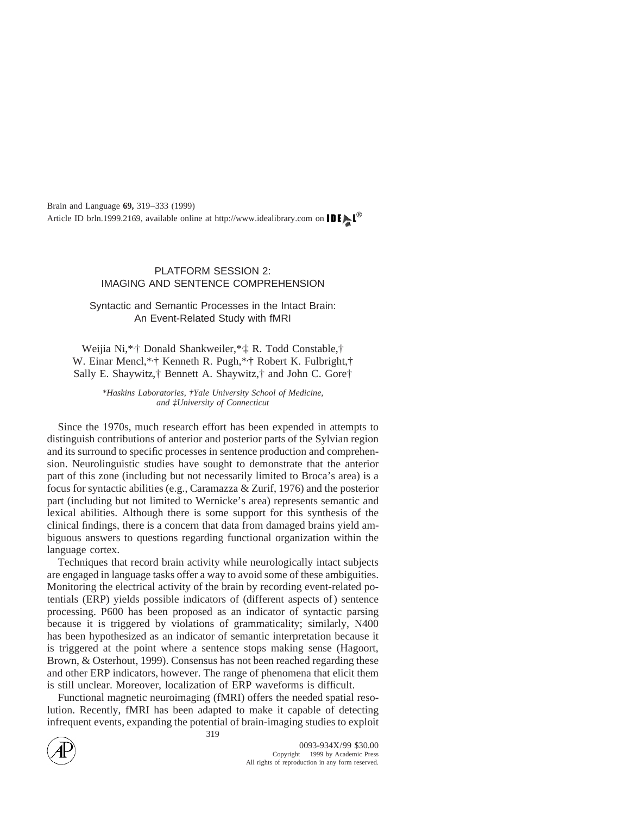# PLATFORM SESSION 2: IMAGING AND SENTENCE COMPREHENSION

Syntactic and Semantic Processes in the Intact Brain: An Event-Related Study with fMRI

Weijia Ni,\*, † Donald Shankweiler,\*, ‡ R. Todd Constable,† W. Einar Mencl,\*<sub>\*</sub>† Kenneth R. Pugh,\*<sub>\*</sub>† Robert K. Fulbright,† Sally E. Shaywitz,† Bennett A. Shaywitz,† and John C. Gore†

> *\*Haskins Laboratories, †Yale University School of Medicine, and ‡University of Connecticut*

Since the 1970s, much research effort has been expended in attempts to distinguish contributions of anterior and posterior parts of the Sylvian region and its surround to specific processes in sentence production and comprehension. Neurolinguistic studies have sought to demonstrate that the anterior part of this zone (including but not necessarily limited to Broca's area) is a focus for syntactic abilities (e.g., Caramazza & Zurif, 1976) and the posterior part (including but not limited to Wernicke's area) represents semantic and lexical abilities. Although there is some support for this synthesis of the clinical findings, there is a concern that data from damaged brains yield ambiguous answers to questions regarding functional organization within the language cortex.

Techniques that record brain activity while neurologically intact subjects are engaged in language tasks offer a way to avoid some of these ambiguities. Monitoring the electrical activity of the brain by recording event-related potentials (ERP) yields possible indicators of (different aspects of) sentence processing. P600 has been proposed as an indicator of syntactic parsing because it is triggered by violations of grammaticality; similarly, N400 has been hypothesized as an indicator of semantic interpretation because it is triggered at the point where a sentence stops making sense (Hagoort, Brown, & Osterhout, 1999). Consensus has not been reached regarding these and other ERP indicators, however. The range of phenomena that elicit them is still unclear. Moreover, localization of ERP waveforms is difficult.

Functional magnetic neuroimaging (fMRI) offers the needed spatial resolution. Recently, fMRI has been adapted to make it capable of detecting infrequent events, expanding the potential of brain-imaging studies to exploit



319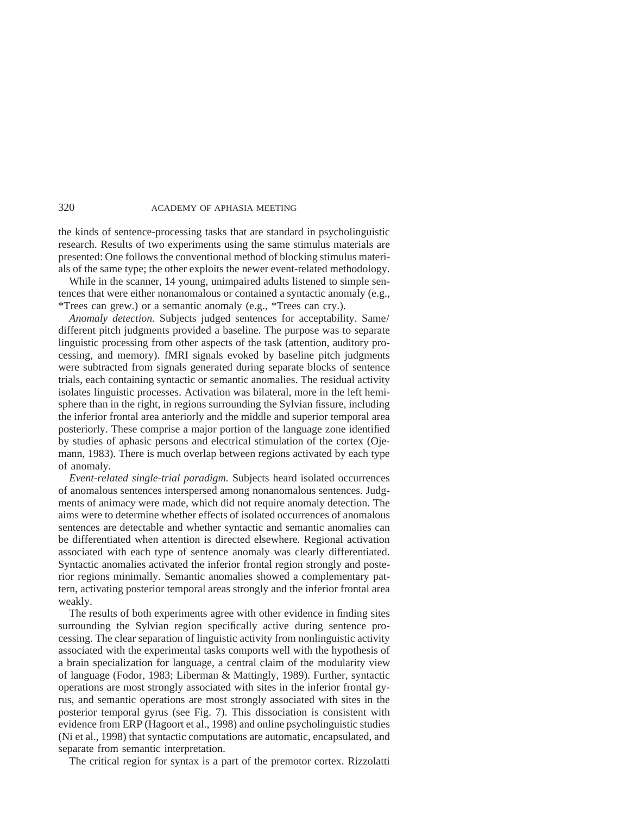the kinds of sentence-processing tasks that are standard in psycholinguistic research. Results of two experiments using the same stimulus materials are presented: One follows the conventional method of blocking stimulus materials of the same type; the other exploits the newer event-related methodology.

While in the scanner, 14 young, unimpaired adults listened to simple sentences that were either nonanomalous or contained a syntactic anomaly (e.g., \*Trees can grew.) or a semantic anomaly (e.g., \*Trees can cry.).

*Anomaly detection.* Subjects judged sentences for acceptability. Same/ different pitch judgments provided a baseline. The purpose was to separate linguistic processing from other aspects of the task (attention, auditory processing, and memory). fMRI signals evoked by baseline pitch judgments were subtracted from signals generated during separate blocks of sentence trials, each containing syntactic or semantic anomalies. The residual activity isolates linguistic processes. Activation was bilateral, more in the left hemisphere than in the right, in regions surrounding the Sylvian fissure, including the inferior frontal area anteriorly and the middle and superior temporal area posteriorly. These comprise a major portion of the language zone identified by studies of aphasic persons and electrical stimulation of the cortex (Ojemann, 1983). There is much overlap between regions activated by each type of anomaly.

*Event-related single-trial paradigm.* Subjects heard isolated occurrences of anomalous sentences interspersed among nonanomalous sentences. Judgments of animacy were made, which did not require anomaly detection. The aims were to determine whether effects of isolated occurrences of anomalous sentences are detectable and whether syntactic and semantic anomalies can be differentiated when attention is directed elsewhere. Regional activation associated with each type of sentence anomaly was clearly differentiated. Syntactic anomalies activated the inferior frontal region strongly and posterior regions minimally. Semantic anomalies showed a complementary pattern, activating posterior temporal areas strongly and the inferior frontal area weakly.

The results of both experiments agree with other evidence in finding sites surrounding the Sylvian region specifically active during sentence processing. The clear separation of linguistic activity from nonlinguistic activity associated with the experimental tasks comports well with the hypothesis of a brain specialization for language, a central claim of the modularity view of language (Fodor, 1983; Liberman & Mattingly, 1989). Further, syntactic operations are most strongly associated with sites in the inferior frontal gyrus, and semantic operations are most strongly associated with sites in the posterior temporal gyrus (see Fig. 7). This dissociation is consistent with evidence from ERP (Hagoort et al., 1998) and online psycholinguistic studies (Ni et al., 1998) that syntactic computations are automatic, encapsulated, and separate from semantic interpretation.

The critical region for syntax is a part of the premotor cortex. Rizzolatti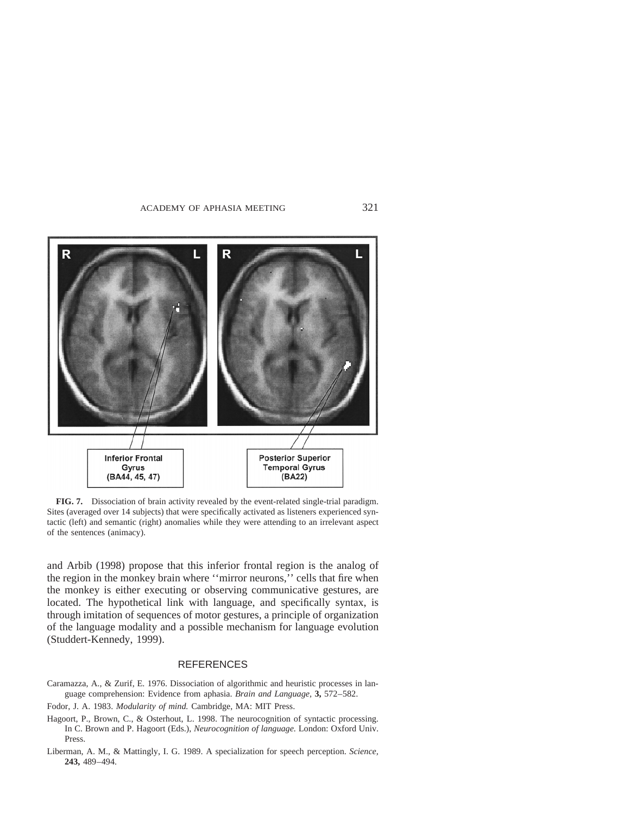

**FIG. 7.** Dissociation of brain activity revealed by the event-related single-trial paradigm. Sites (averaged over 14 subjects) that were specifically activated as listeners experienced syntactic (left) and semantic (right) anomalies while they were attending to an irrelevant aspect of the sentences (animacy).

and Arbib (1998) propose that this inferior frontal region is the analog of the region in the monkey brain where ''mirror neurons,'' cells that fire when the monkey is either executing or observing communicative gestures, are located. The hypothetical link with language, and specifically syntax, is through imitation of sequences of motor gestures, a principle of organization of the language modality and a possible mechanism for language evolution (Studdert-Kennedy, 1999).

#### REFERENCES

- Caramazza, A., & Zurif, E. 1976. Dissociation of algorithmic and heuristic processes in language comprehension: Evidence from aphasia. *Brain and Language,* **3,** 572–582.
- Fodor, J. A. 1983. *Modularity of mind.* Cambridge, MA: MIT Press.
- Hagoort, P., Brown, C., & Osterhout, L. 1998. The neurocognition of syntactic processing. In C. Brown and P. Hagoort (Eds.), *Neurocognition of language.* London: Oxford Univ. Press.
- Liberman, A. M., & Mattingly, I. G. 1989. A specialization for speech perception. *Science,* **243,** 489–494.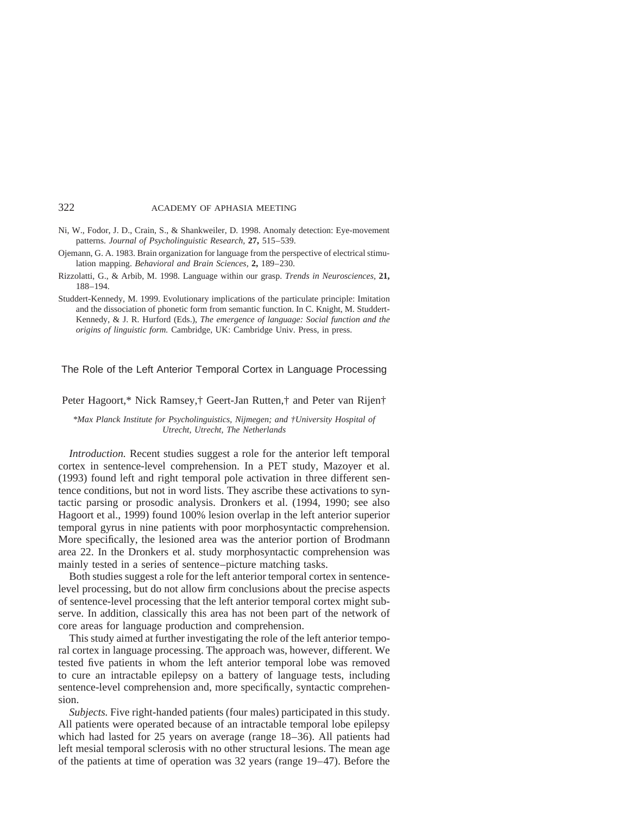- Ni, W., Fodor, J. D., Crain, S., & Shankweiler, D. 1998. Anomaly detection: Eye-movement patterns. *Journal of Psycholinguistic Research,* **27,** 515–539.
- Ojemann, G. A. 1983. Brain organization for language from the perspective of electrical stimulation mapping. *Behavioral and Brain Sciences,* **2,** 189–230.
- Rizzolatti, G., & Arbib, M. 1998. Language within our grasp. *Trends in Neurosciences,* **21,** 188–194.
- Studdert-Kennedy, M. 1999. Evolutionary implications of the particulate principle: Imitation and the dissociation of phonetic form from semantic function. In C. Knight, M. Studdert-Kennedy, & J. R. Hurford (Eds.), *The emergence of language: Social function and the origins of linguistic form.* Cambridge, UK: Cambridge Univ. Press, in press.

## The Role of the Left Anterior Temporal Cortex in Language Processing

Peter Hagoort,\* Nick Ramsey,† Geert-Jan Rutten,† and Peter van Rijen†

*\*Max Planck Institute for Psycholinguistics, Nijmegen; and †University Hospital of Utrecht, Utrecht, The Netherlands*

*Introduction.* Recent studies suggest a role for the anterior left temporal cortex in sentence-level comprehension. In a PET study, Mazoyer et al. (1993) found left and right temporal pole activation in three different sentence conditions, but not in word lists. They ascribe these activations to syntactic parsing or prosodic analysis. Dronkers et al. (1994, 1990; see also Hagoort et al., 1999) found 100% lesion overlap in the left anterior superior temporal gyrus in nine patients with poor morphosyntactic comprehension. More specifically, the lesioned area was the anterior portion of Brodmann area 22. In the Dronkers et al. study morphosyntactic comprehension was mainly tested in a series of sentence–picture matching tasks.

Both studies suggest a role for the left anterior temporal cortex in sentencelevel processing, but do not allow firm conclusions about the precise aspects of sentence-level processing that the left anterior temporal cortex might subserve. In addition, classically this area has not been part of the network of core areas for language production and comprehension.

This study aimed at further investigating the role of the left anterior temporal cortex in language processing. The approach was, however, different. We tested five patients in whom the left anterior temporal lobe was removed to cure an intractable epilepsy on a battery of language tests, including sentence-level comprehension and, more specifically, syntactic comprehension.

*Subjects.* Five right-handed patients (four males) participated in this study. All patients were operated because of an intractable temporal lobe epilepsy which had lasted for 25 years on average (range 18–36). All patients had left mesial temporal sclerosis with no other structural lesions. The mean age of the patients at time of operation was 32 years (range 19–47). Before the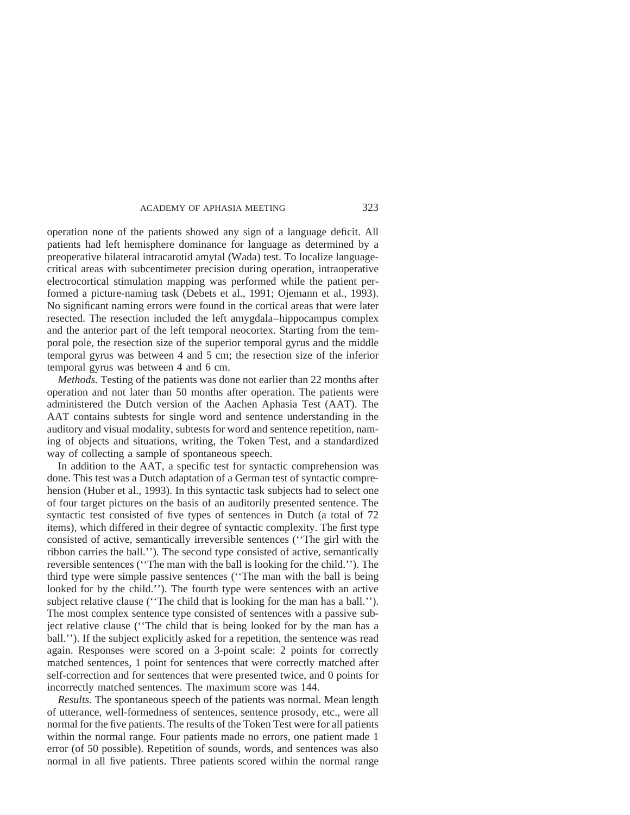operation none of the patients showed any sign of a language deficit. All patients had left hemisphere dominance for language as determined by a preoperative bilateral intracarotid amytal (Wada) test. To localize languagecritical areas with subcentimeter precision during operation, intraoperative electrocortical stimulation mapping was performed while the patient performed a picture-naming task (Debets et al., 1991; Ojemann et al., 1993). No significant naming errors were found in the cortical areas that were later resected. The resection included the left amygdala–hippocampus complex and the anterior part of the left temporal neocortex. Starting from the temporal pole, the resection size of the superior temporal gyrus and the middle temporal gyrus was between 4 and 5 cm; the resection size of the inferior temporal gyrus was between 4 and 6 cm.

*Methods.* Testing of the patients was done not earlier than 22 months after operation and not later than 50 months after operation. The patients were administered the Dutch version of the Aachen Aphasia Test (AAT). The AAT contains subtests for single word and sentence understanding in the auditory and visual modality, subtests for word and sentence repetition, naming of objects and situations, writing, the Token Test, and a standardized way of collecting a sample of spontaneous speech.

In addition to the AAT, a specific test for syntactic comprehension was done. This test was a Dutch adaptation of a German test of syntactic comprehension (Huber et al., 1993). In this syntactic task subjects had to select one of four target pictures on the basis of an auditorily presented sentence. The syntactic test consisted of five types of sentences in Dutch (a total of 72 items), which differed in their degree of syntactic complexity. The first type consisted of active, semantically irreversible sentences (''The girl with the ribbon carries the ball.''). The second type consisted of active, semantically reversible sentences (''The man with the ball is looking for the child.''). The third type were simple passive sentences (''The man with the ball is being looked for by the child.''). The fourth type were sentences with an active subject relative clause (''The child that is looking for the man has a ball.''). The most complex sentence type consisted of sentences with a passive subject relative clause (''The child that is being looked for by the man has a ball.''). If the subject explicitly asked for a repetition, the sentence was read again. Responses were scored on a 3-point scale: 2 points for correctly matched sentences, 1 point for sentences that were correctly matched after self-correction and for sentences that were presented twice, and 0 points for incorrectly matched sentences. The maximum score was 144.

*Results.* The spontaneous speech of the patients was normal. Mean length of utterance, well-formedness of sentences, sentence prosody, etc., were all normal for the five patients. The results of the Token Test were for all patients within the normal range. Four patients made no errors, one patient made 1 error (of 50 possible). Repetition of sounds, words, and sentences was also normal in all five patients. Three patients scored within the normal range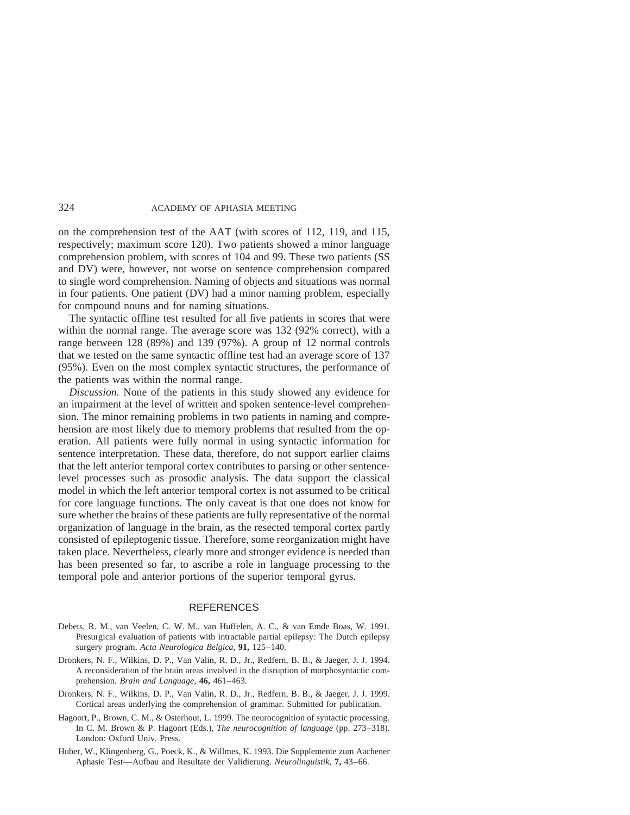on the comprehension test of the AAT (with scores of 112, 119, and 115, respectively; maximum score 120). Two patients showed a minor language comprehension problem, with scores of 104 and 99. These two patients (SS and DV) were, however, not worse on sentence comprehension compared to single word comprehension. Naming of objects and situations was normal in four patients. One patient (DV) had a minor naming problem, especially for compound nouns and for naming situations.

The syntactic offline test resulted for all five patients in scores that were within the normal range. The average score was 132 (92% correct), with a range between 128 (89%) and 139 (97%). A group of 12 normal controls that we tested on the same syntactic offline test had an average score of 137 (95%). Even on the most complex syntactic structures, the performance of the patients was within the normal range.

*Discussion.* None of the patients in this study showed any evidence for an impairment at the level of written and spoken sentence-level comprehension. The minor remaining problems in two patients in naming and comprehension are most likely due to memory problems that resulted from the operation. All patients were fully normal in using syntactic information for sentence interpretation. These data, therefore, do not support earlier claims that the left anterior temporal cortex contributes to parsing or other sentencelevel processes such as prosodic analysis. The data support the classical model in which the left anterior temporal cortex is not assumed to be critical for core language functions. The only caveat is that one does not know for sure whether the brains of these patients are fully representative of the normal organization of language in the brain, as the resected temporal cortex partly consisted of epileptogenic tissue. Therefore, some reorganization might have taken place. Nevertheless, clearly more and stronger evidence is needed than has been presented so far, to ascribe a role in language processing to the temporal pole and anterior portions of the superior temporal gyrus.

## **REFERENCES**

- Debets, R. M., van Veelen, C. W. M., van Huffelen, A. C., & van Emde Boas, W. 1991. Presurgical evaluation of patients with intractable partial epilepsy: The Dutch epilepsy surgery program. *Acta Neurologica Belgica,* **91,** 125–140.
- Dronkers, N. F., Wilkins, D. P., Van Valin, R. D., Jr., Redfern, B. B., & Jaeger, J. J. 1994. A reconsideration of the brain areas involved in the disruption of morphosyntactic comprehension. *Brain and Language,* **46,** 461–463.
- Dronkers, N. F., Wilkins, D. P., Van Valin, R. D., Jr., Redfern, B. B., & Jaeger, J. J. 1999. Cortical areas underlying the comprehension of grammar. Submitted for publication.
- Hagoort, P., Brown, C. M., & Osterhout, L. 1999. The neurocognition of syntactic processing. In C. M. Brown & P. Hagoort (Eds.), *The neurocognition of language* (pp. 273–318). London: Oxford Univ. Press.
- Huber, W., Klingenberg, G., Poeck, K., & Willmes, K. 1993. Die Supplemente zum Aachener Aphasie Test—Aufbau and Resultate der Validierung. *Neurolinguistik,* **7,** 43–66.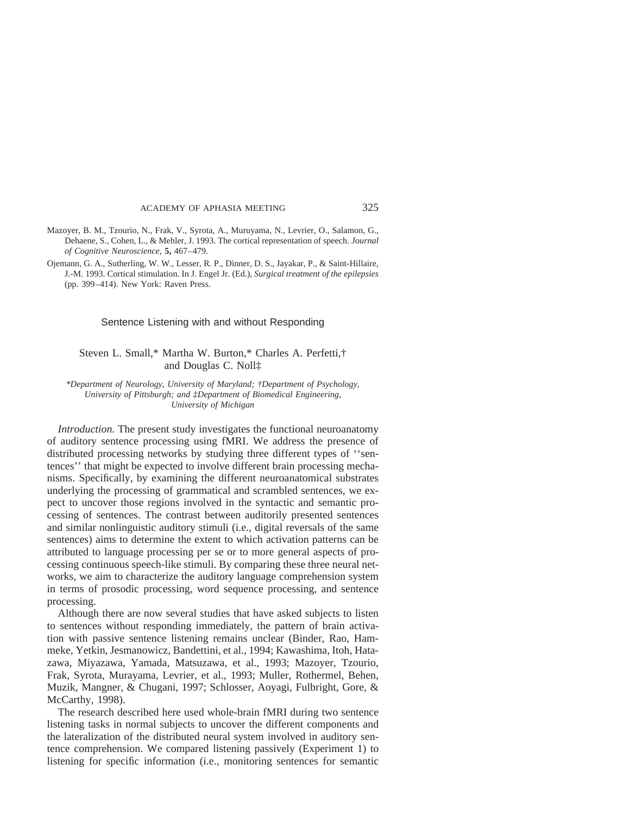- Mazoyer, B. M., Tzourio, N., Frak, V., Syrota, A., Muruyama, N., Levrier, O., Salamon, G., Dehaene, S., Cohen, L., & Mehler, J. 1993. The cortical representation of speech. *Journal of Cognitive Neuroscience,* **5,** 467–479.
- Ojemann, G. A., Sutherling, W. W., Lesser, R. P., Dinner, D. S., Jayakar, P., & Saint-Hillaire, J.-M. 1993. Cortical stimulation. In J. Engel Jr. (Ed.), *Surgical treatment of the epilepsies* (pp. 399–414). New York: Raven Press.

#### Sentence Listening with and without Responding

# Steven L. Small,\* Martha W. Burton,\* Charles A. Perfetti,† and Douglas C. Noll‡

*\*Department of Neurology, University of Maryland; †Department of Psychology, University of Pittsburgh; and ‡Department of Biomedical Engineering, University of Michigan*

*Introduction.* The present study investigates the functional neuroanatomy of auditory sentence processing using fMRI. We address the presence of distributed processing networks by studying three different types of ''sentences'' that might be expected to involve different brain processing mechanisms. Specifically, by examining the different neuroanatomical substrates underlying the processing of grammatical and scrambled sentences, we expect to uncover those regions involved in the syntactic and semantic processing of sentences. The contrast between auditorily presented sentences and similar nonlinguistic auditory stimuli (i.e., digital reversals of the same sentences) aims to determine the extent to which activation patterns can be attributed to language processing per se or to more general aspects of processing continuous speech-like stimuli. By comparing these three neural networks, we aim to characterize the auditory language comprehension system in terms of prosodic processing, word sequence processing, and sentence processing.

Although there are now several studies that have asked subjects to listen to sentences without responding immediately, the pattern of brain activation with passive sentence listening remains unclear (Binder, Rao, Hammeke, Yetkin, Jesmanowicz, Bandettini, et al., 1994; Kawashima, Itoh, Hatazawa, Miyazawa, Yamada, Matsuzawa, et al., 1993; Mazoyer, Tzourio, Frak, Syrota, Murayama, Levrier, et al., 1993; Muller, Rothermel, Behen, Muzik, Mangner, & Chugani, 1997; Schlosser, Aoyagi, Fulbright, Gore, & McCarthy, 1998).

The research described here used whole-brain fMRI during two sentence listening tasks in normal subjects to uncover the different components and the lateralization of the distributed neural system involved in auditory sentence comprehension. We compared listening passively (Experiment 1) to listening for specific information (i.e., monitoring sentences for semantic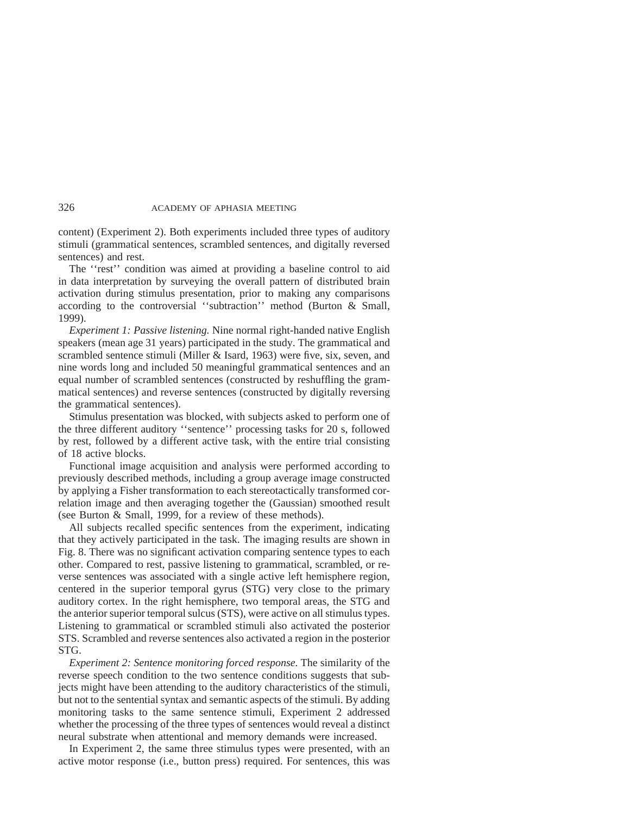content) (Experiment 2). Both experiments included three types of auditory stimuli (grammatical sentences, scrambled sentences, and digitally reversed sentences) and rest.

The ''rest'' condition was aimed at providing a baseline control to aid in data interpretation by surveying the overall pattern of distributed brain activation during stimulus presentation, prior to making any comparisons according to the controversial ''subtraction'' method (Burton & Small, 1999).

*Experiment 1: Passive listening.* Nine normal right-handed native English speakers (mean age 31 years) participated in the study. The grammatical and scrambled sentence stimuli (Miller & Isard, 1963) were five, six, seven, and nine words long and included 50 meaningful grammatical sentences and an equal number of scrambled sentences (constructed by reshuffling the grammatical sentences) and reverse sentences (constructed by digitally reversing the grammatical sentences).

Stimulus presentation was blocked, with subjects asked to perform one of the three different auditory ''sentence'' processing tasks for 20 s, followed by rest, followed by a different active task, with the entire trial consisting of 18 active blocks.

Functional image acquisition and analysis were performed according to previously described methods, including a group average image constructed by applying a Fisher transformation to each stereotactically transformed correlation image and then averaging together the (Gaussian) smoothed result (see Burton & Small, 1999, for a review of these methods).

All subjects recalled specific sentences from the experiment, indicating that they actively participated in the task. The imaging results are shown in Fig. 8. There was no significant activation comparing sentence types to each other. Compared to rest, passive listening to grammatical, scrambled, or reverse sentences was associated with a single active left hemisphere region, centered in the superior temporal gyrus (STG) very close to the primary auditory cortex. In the right hemisphere, two temporal areas, the STG and the anterior superior temporal sulcus (STS), were active on all stimulus types. Listening to grammatical or scrambled stimuli also activated the posterior STS. Scrambled and reverse sentences also activated a region in the posterior STG.

*Experiment 2: Sentence monitoring forced response.* The similarity of the reverse speech condition to the two sentence conditions suggests that subjects might have been attending to the auditory characteristics of the stimuli, but not to the sentential syntax and semantic aspects of the stimuli. By adding monitoring tasks to the same sentence stimuli, Experiment 2 addressed whether the processing of the three types of sentences would reveal a distinct neural substrate when attentional and memory demands were increased.

In Experiment 2, the same three stimulus types were presented, with an active motor response (i.e., button press) required. For sentences, this was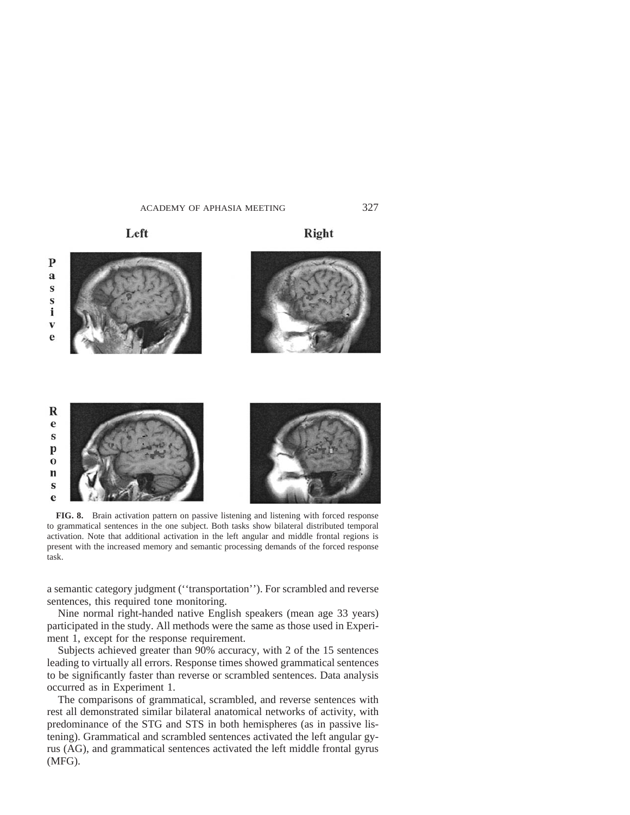Left

Right



**FIG. 8.** Brain activation pattern on passive listening and listening with forced response to grammatical sentences in the one subject. Both tasks show bilateral distributed temporal activation. Note that additional activation in the left angular and middle frontal regions is present with the increased memory and semantic processing demands of the forced response task.

a semantic category judgment (''transportation''). For scrambled and reverse sentences, this required tone monitoring.

Nine normal right-handed native English speakers (mean age 33 years) participated in the study. All methods were the same as those used in Experiment 1, except for the response requirement.

Subjects achieved greater than 90% accuracy, with 2 of the 15 sentences leading to virtually all errors. Response times showed grammatical sentences to be significantly faster than reverse or scrambled sentences. Data analysis occurred as in Experiment 1.

The comparisons of grammatical, scrambled, and reverse sentences with rest all demonstrated similar bilateral anatomical networks of activity, with predominance of the STG and STS in both hemispheres (as in passive listening). Grammatical and scrambled sentences activated the left angular gyrus (AG), and grammatical sentences activated the left middle frontal gyrus (MFG).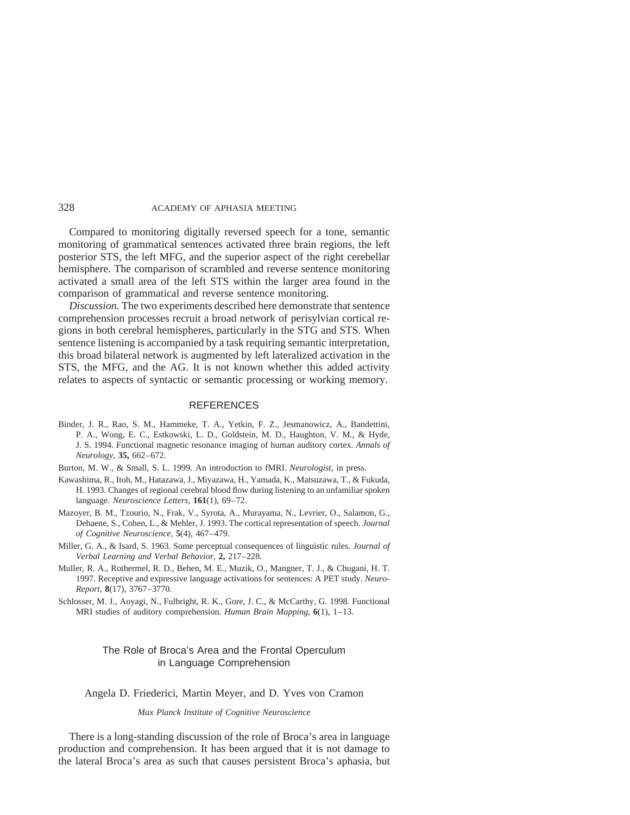Compared to monitoring digitally reversed speech for a tone, semantic monitoring of grammatical sentences activated three brain regions, the left posterior STS, the left MFG, and the superior aspect of the right cerebellar hemisphere. The comparison of scrambled and reverse sentence monitoring activated a small area of the left STS within the larger area found in the comparison of grammatical and reverse sentence monitoring.

*Discussion.* The two experiments described here demonstrate that sentence comprehension processes recruit a broad network of perisylvian cortical regions in both cerebral hemispheres, particularly in the STG and STS. When sentence listening is accompanied by a task requiring semantic interpretation, this broad bilateral network is augmented by left lateralized activation in the STS, the MFG, and the AG. It is not known whether this added activity relates to aspects of syntactic or semantic processing or working memory.

### **REFERENCES**

- Binder, J. R., Rao, S. M., Hammeke, T. A., Yetkin, F. Z., Jesmanowicz, A., Bandettini, P. A., Wong, E. C., Estkowski, L. D., Goldstein, M. D., Haughton, V. M., & Hyde, J. S. 1994. Functional magnetic resonance imaging of human auditory cortex. *Annals of Neurology,* **35,** 662–672.
- Burton, M. W., & Small, S. L. 1999. An introduction to fMRI. *Neurologist,* in press.
- Kawashima, R., Itoh, M., Hatazawa, J., Miyazawa, H., Yamada, K., Matsuzawa, T., & Fukuda, H. 1993. Changes of regional cerebral blood flow during listening to an unfamiliar spoken language. *Neuroscience Letters,* **161**(1), 69–72.
- Mazoyer, B. M., Tzourio, N., Frak, V., Syrota, A., Murayama, N., Levrier, O., Salamon, G., Dehaene, S., Cohen, L., & Mehler, J. 1993. The cortical representation of speech. *Journal of Cognitive Neuroscience,* **5**(4), 467–479.
- Miller, G. A., & Isard, S. 1963. Some perceptual consequences of linguistic rules. *Journal of Verbal Learning and Verbal Behavior,* **2,** 217–228.
- Muller, R. A., Rothermel, R. D., Behen, M. E., Muzik, O., Mangner, T. J., & Chugani, H. T. 1997. Receptive and expressive language activations for sentences: A PET study. *Neuro-Report,* **8**(17), 3767–3770.
- Schlosser, M. J., Aoyagi, N., Fulbright, R. K., Gore, J. C., & McCarthy, G. 1998. Functional MRI studies of auditory comprehension. *Human Brain Mapping,* **6**(1), 1–13.

# The Role of Broca's Area and the Frontal Operculum in Language Comprehension

Angela D. Friederici, Martin Meyer, and D. Yves von Cramon

*Max Planck Institute of Cognitive Neuroscience*

There is a long-standing discussion of the role of Broca's area in language production and comprehension. It has been argued that it is not damage to the lateral Broca's area as such that causes persistent Broca's aphasia, but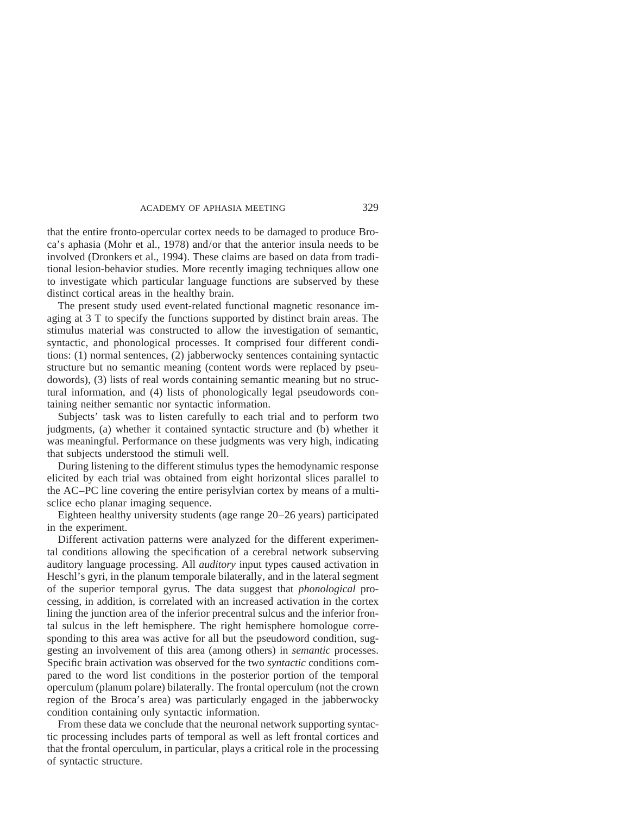that the entire fronto-opercular cortex needs to be damaged to produce Broca's aphasia (Mohr et al., 1978) and/or that the anterior insula needs to be involved (Dronkers et al., 1994). These claims are based on data from traditional lesion-behavior studies. More recently imaging techniques allow one to investigate which particular language functions are subserved by these distinct cortical areas in the healthy brain.

The present study used event-related functional magnetic resonance imaging at 3 T to specify the functions supported by distinct brain areas. The stimulus material was constructed to allow the investigation of semantic, syntactic, and phonological processes. It comprised four different conditions: (1) normal sentences, (2) jabberwocky sentences containing syntactic structure but no semantic meaning (content words were replaced by pseudowords), (3) lists of real words containing semantic meaning but no structural information, and (4) lists of phonologically legal pseudowords containing neither semantic nor syntactic information.

Subjects' task was to listen carefully to each trial and to perform two judgments, (a) whether it contained syntactic structure and (b) whether it was meaningful. Performance on these judgments was very high, indicating that subjects understood the stimuli well.

During listening to the different stimulus types the hemodynamic response elicited by each trial was obtained from eight horizontal slices parallel to the AC–PC line covering the entire perisylvian cortex by means of a multisclice echo planar imaging sequence.

Eighteen healthy university students (age range 20–26 years) participated in the experiment.

Different activation patterns were analyzed for the different experimental conditions allowing the specification of a cerebral network subserving auditory language processing. All *auditory* input types caused activation in Heschl's gyri, in the planum temporale bilaterally, and in the lateral segment of the superior temporal gyrus. The data suggest that *phonological* processing, in addition, is correlated with an increased activation in the cortex lining the junction area of the inferior precentral sulcus and the inferior frontal sulcus in the left hemisphere. The right hemisphere homologue corresponding to this area was active for all but the pseudoword condition, suggesting an involvement of this area (among others) in *semantic* processes. Specific brain activation was observed for the two *syntactic* conditions compared to the word list conditions in the posterior portion of the temporal operculum (planum polare) bilaterally. The frontal operculum (not the crown region of the Broca's area) was particularly engaged in the jabberwocky condition containing only syntactic information.

From these data we conclude that the neuronal network supporting syntactic processing includes parts of temporal as well as left frontal cortices and that the frontal operculum, in particular, plays a critical role in the processing of syntactic structure.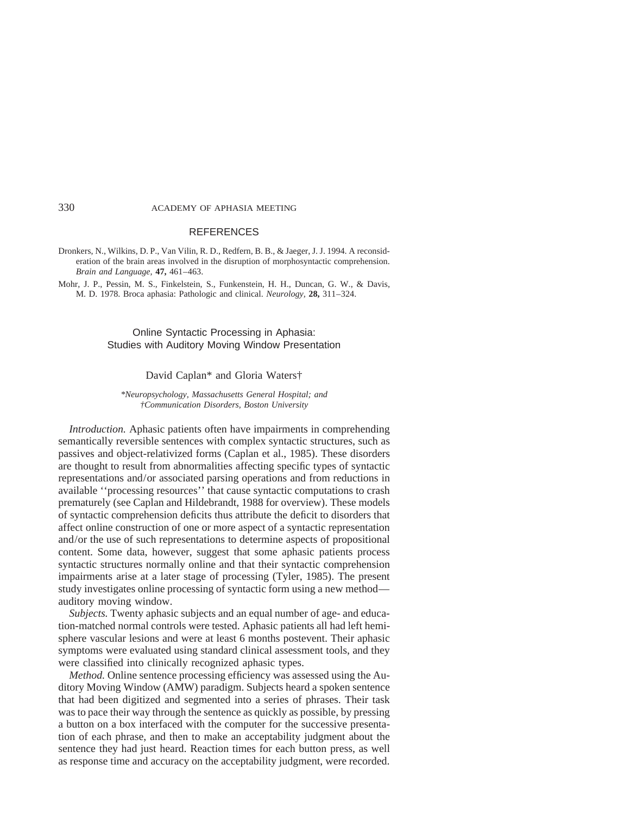#### **REFERENCES**

Dronkers, N., Wilkins, D. P., Van Vilin, R. D., Redfern, B. B., & Jaeger, J. J. 1994. A reconsideration of the brain areas involved in the disruption of morphosyntactic comprehension. *Brain and Language,* **47,** 461–463.

Mohr, J. P., Pessin, M. S., Finkelstein, S., Funkenstein, H. H., Duncan, G. W., & Davis, M. D. 1978. Broca aphasia: Pathologic and clinical. *Neurology,* **28,** 311–324.

# Online Syntactic Processing in Aphasia: Studies with Auditory Moving Window Presentation

# David Caplan\* and Gloria Waters†

*\*Neuropsychology, Massachusetts General Hospital; and †Communication Disorders, Boston University*

*Introduction.* Aphasic patients often have impairments in comprehending semantically reversible sentences with complex syntactic structures, such as passives and object-relativized forms (Caplan et al., 1985). These disorders are thought to result from abnormalities affecting specific types of syntactic representations and/or associated parsing operations and from reductions in available ''processing resources'' that cause syntactic computations to crash prematurely (see Caplan and Hildebrandt, 1988 for overview). These models of syntactic comprehension deficits thus attribute the deficit to disorders that affect online construction of one or more aspect of a syntactic representation and/or the use of such representations to determine aspects of propositional content. Some data, however, suggest that some aphasic patients process syntactic structures normally online and that their syntactic comprehension impairments arise at a later stage of processing (Tyler, 1985). The present study investigates online processing of syntactic form using a new method auditory moving window.

*Subjects.* Twenty aphasic subjects and an equal number of age- and education-matched normal controls were tested. Aphasic patients all had left hemisphere vascular lesions and were at least 6 months postevent. Their aphasic symptoms were evaluated using standard clinical assessment tools, and they were classified into clinically recognized aphasic types.

*Method.* Online sentence processing efficiency was assessed using the Auditory Moving Window (AMW) paradigm. Subjects heard a spoken sentence that had been digitized and segmented into a series of phrases. Their task was to pace their way through the sentence as quickly as possible, by pressing a button on a box interfaced with the computer for the successive presentation of each phrase, and then to make an acceptability judgment about the sentence they had just heard. Reaction times for each button press, as well as response time and accuracy on the acceptability judgment, were recorded.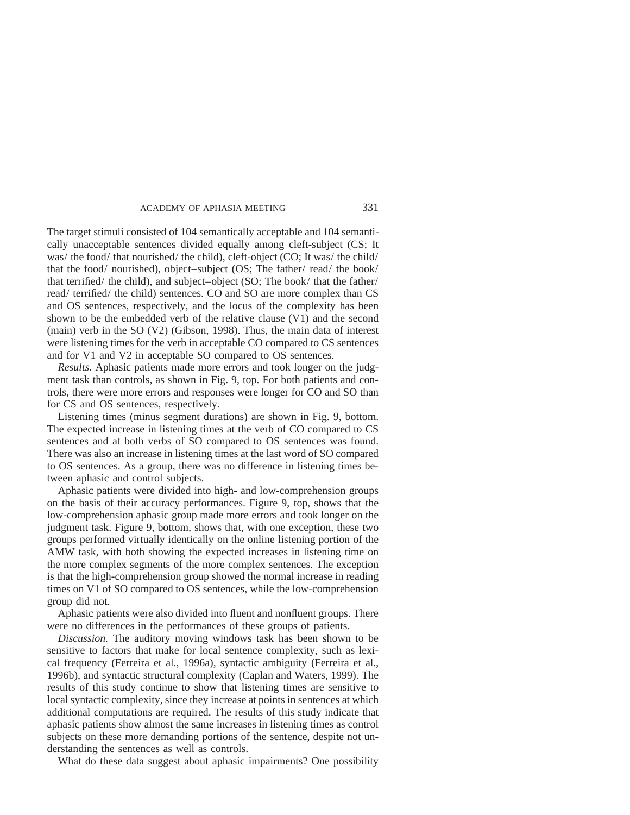The target stimuli consisted of 104 semantically acceptable and 104 semantically unacceptable sentences divided equally among cleft-subject (CS; It was/ the food/ that nourished/ the child), cleft-object (CO; It was/ the child/ that the food/ nourished), object–subject (OS; The father/ read/ the book/ that terrified/ the child), and subject–object (SO; The book/ that the father/ read/ terrified/ the child) sentences. CO and SO are more complex than CS and OS sentences, respectively, and the locus of the complexity has been shown to be the embedded verb of the relative clause (V1) and the second (main) verb in the SO (V2) (Gibson, 1998). Thus, the main data of interest were listening times for the verb in acceptable CO compared to CS sentences and for V1 and V2 in acceptable SO compared to OS sentences.

*Results.* Aphasic patients made more errors and took longer on the judgment task than controls, as shown in Fig. 9, top. For both patients and controls, there were more errors and responses were longer for CO and SO than for CS and OS sentences, respectively.

Listening times (minus segment durations) are shown in Fig. 9, bottom. The expected increase in listening times at the verb of CO compared to CS sentences and at both verbs of SO compared to OS sentences was found. There was also an increase in listening times at the last word of SO compared to OS sentences. As a group, there was no difference in listening times between aphasic and control subjects.

Aphasic patients were divided into high- and low-comprehension groups on the basis of their accuracy performances. Figure 9, top, shows that the low-comprehension aphasic group made more errors and took longer on the judgment task. Figure 9, bottom, shows that, with one exception, these two groups performed virtually identically on the online listening portion of the AMW task, with both showing the expected increases in listening time on the more complex segments of the more complex sentences. The exception is that the high-comprehension group showed the normal increase in reading times on V1 of SO compared to OS sentences, while the low-comprehension group did not.

Aphasic patients were also divided into fluent and nonfluent groups. There were no differences in the performances of these groups of patients.

*Discussion.* The auditory moving windows task has been shown to be sensitive to factors that make for local sentence complexity, such as lexical frequency (Ferreira et al., 1996a), syntactic ambiguity (Ferreira et al., 1996b), and syntactic structural complexity (Caplan and Waters, 1999). The results of this study continue to show that listening times are sensitive to local syntactic complexity, since they increase at points in sentences at which additional computations are required. The results of this study indicate that aphasic patients show almost the same increases in listening times as control subjects on these more demanding portions of the sentence, despite not understanding the sentences as well as controls.

What do these data suggest about aphasic impairments? One possibility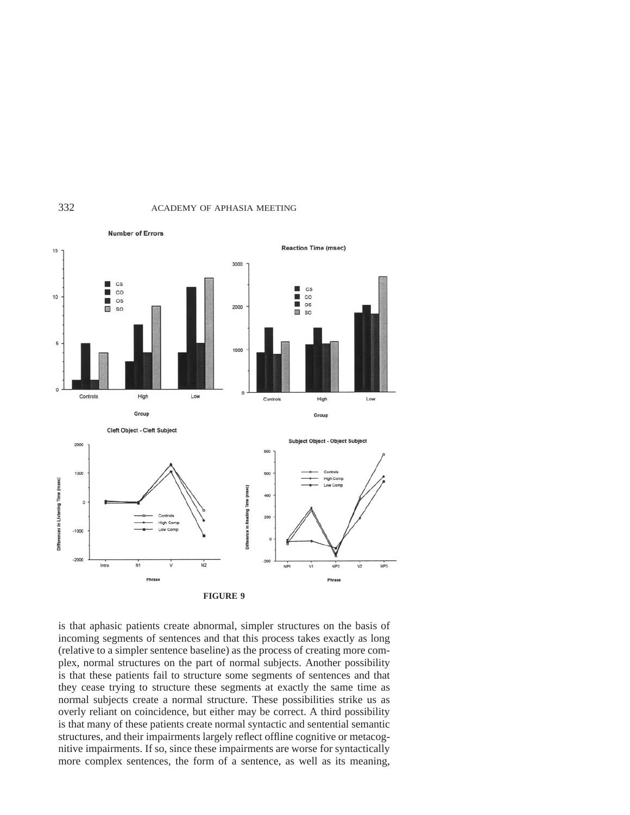



is that aphasic patients create abnormal, simpler structures on the basis of incoming segments of sentences and that this process takes exactly as long (relative to a simpler sentence baseline) as the process of creating more complex, normal structures on the part of normal subjects. Another possibility is that these patients fail to structure some segments of sentences and that they cease trying to structure these segments at exactly the same time as normal subjects create a normal structure. These possibilities strike us as overly reliant on coincidence, but either may be correct. A third possibility is that many of these patients create normal syntactic and sentential semantic structures, and their impairments largely reflect offline cognitive or metacognitive impairments. If so, since these impairments are worse for syntactically more complex sentences, the form of a sentence, as well as its meaning,